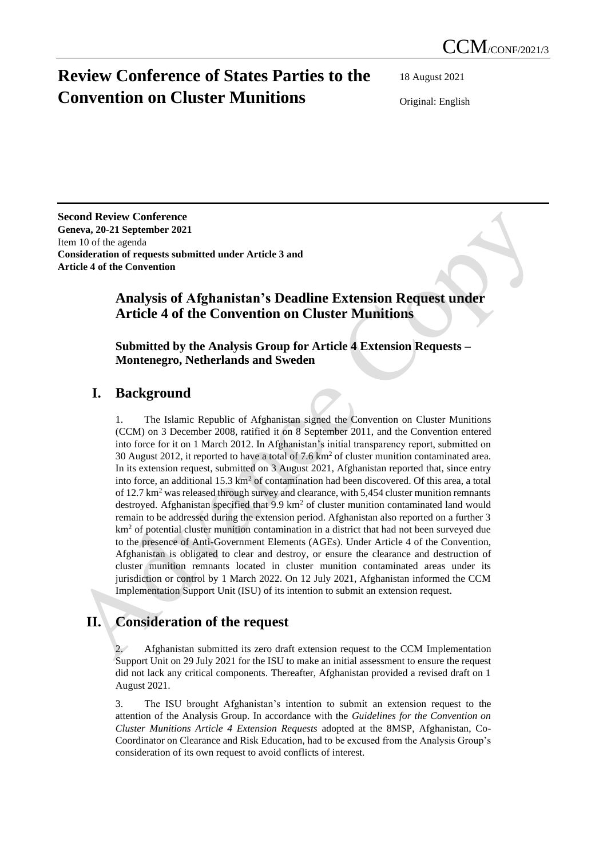# **Review Conference of States Parties to the Convention on Cluster Munitions**

18 August 2021

Original: English

**Second Review Conference Geneva, 20-21 September 2021** Item 10 of the agenda **Consideration of requests submitted under Article 3 and Article 4 of the Convention**

### **Analysis of Afghanistan's Deadline Extension Request under Article 4 of the Convention on Cluster Munitions**

#### **Submitted by the Analysis Group for Article 4 Extension Requests – Montenegro, Netherlands and Sweden**

## **I. Background**

1. The Islamic Republic of Afghanistan signed the Convention on Cluster Munitions (CCM) on 3 December 2008, ratified it on 8 September 2011, and the Convention entered into force for it on 1 March 2012. In Afghanistan's initial transparency report, submitted on 30 August 2012, it reported to have a total of  $7.6 \text{ km}^2$  of cluster munition contaminated area. In its extension request, submitted on 3 August 2021, Afghanistan reported that, since entry into force, an additional  $15.3 \text{ km}^2$  of contamination had been discovered. Of this area, a total of  $12.7 \text{ km}^2$  was released through survey and clearance, with 5,454 cluster munition remnants destroyed. Afghanistan specified that  $9.9 \text{ km}^2$  of cluster munition contaminated land would remain to be addressed during the extension period. Afghanistan also reported on a further 3  $km<sup>2</sup>$  of potential cluster munition contamination in a district that had not been surveyed due to the presence of Anti-Government Elements (AGEs). Under Article 4 of the Convention, Afghanistan is obligated to clear and destroy, or ensure the clearance and destruction of cluster munition remnants located in cluster munition contaminated areas under its jurisdiction or control by 1 March 2022. On 12 July 2021, Afghanistan informed the CCM Implementation Support Unit (ISU) of its intention to submit an extension request.

## **II. Consideration of the request**

2. Afghanistan submitted its zero draft extension request to the CCM Implementation Support Unit on 29 July 2021 for the ISU to make an initial assessment to ensure the request did not lack any critical components. Thereafter, Afghanistan provided a revised draft on 1 August 2021.

3. The ISU brought Afghanistan's intention to submit an extension request to the attention of the Analysis Group. In accordance with the *Guidelines for the Convention on Cluster Munitions Article 4 Extension Requests* adopted at the 8MSP, Afghanistan, Co-Coordinator on Clearance and Risk Education, had to be excused from the Analysis Group's consideration of its own request to avoid conflicts of interest.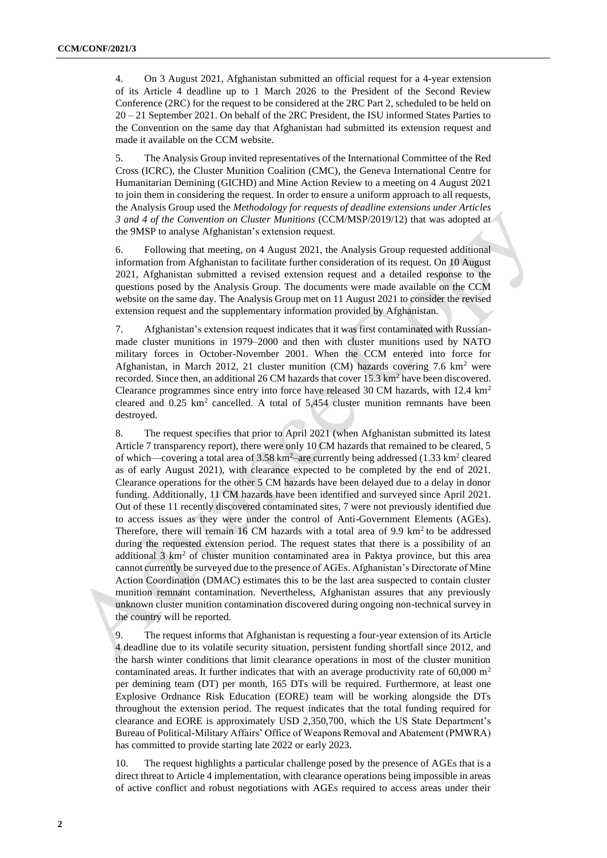4. On 3 August 2021, Afghanistan submitted an official request for a 4-year extension of its Article 4 deadline up to 1 March 2026 to the President of the Second Review Conference (2RC) for the request to be considered at the 2RC Part 2, scheduled to be held on 20 – 21 September 2021. On behalf of the 2RC President, the ISU informed States Parties to the Convention on the same day that Afghanistan had submitted its extension request and made it available on the CCM website.

5. The Analysis Group invited representatives of the International Committee of the Red Cross (ICRC), the Cluster Munition Coalition (CMC), the Geneva International Centre for Humanitarian Demining (GICHD) and Mine Action Review to a meeting on 4 August 2021 to join them in considering the request. In order to ensure a uniform approach to all requests, the Analysis Group used the *Methodology for requests of deadline extensions under Articles 3 and 4 of the Convention on Cluster Munitions* (CCM/MSP/2019/12) that was adopted at the 9MSP to analyse Afghanistan's extension request.

6. Following that meeting, on 4 August 2021, the Analysis Group requested additional information from Afghanistan to facilitate further consideration of its request. On 10 August 2021, Afghanistan submitted a revised extension request and a detailed response to the questions posed by the Analysis Group. The documents were made available on the CCM website on the same day. The Analysis Group met on 11 August 2021 to consider the revised extension request and the supplementary information provided by Afghanistan.

7. Afghanistan's extension request indicates that it was first contaminated with Russianmade cluster munitions in 1979–2000 and then with cluster munitions used by NATO military forces in October-November 2001. When the CCM entered into force for Afghanistan, in March 2012, 21 cluster munition (CM) hazards covering 7.6  $km^2$  were recorded. Since then, an additional 26 CM hazards that cover 15.3 km<sup>2</sup> have been discovered. Clearance programmes since entry into force have released 30 CM hazards, with 12.4  $km<sup>2</sup>$ cleared and  $0.25 \text{ km}^2$  cancelled. A total of  $5,454$  cluster munition remnants have been destroyed.

8. The request specifies that prior to April 2021 (when Afghanistan submitted its latest Article 7 transparency report), there were only 10 CM hazards that remained to be cleared, 5 of which—covering a total area of  $3.58 \text{ km}^2$ –are currently being addressed (1.33 km<sup>2</sup> cleared as of early August 2021), with clearance expected to be completed by the end of 2021. Clearance operations for the other 5 CM hazards have been delayed due to a delay in donor funding. Additionally, 11 CM hazards have been identified and surveyed since April 2021. Out of these 11 recently discovered contaminated sites, 7 were not previously identified due to access issues as they were under the control of Anti-Government Elements (AGEs). Therefore, there will remain 16 CM hazards with a total area of 9.9  $km<sup>2</sup>$  to be addressed during the requested extension period. The request states that there is a possibility of an additional  $3 \text{ km}^2$  of cluster munition contaminated area in Paktya province, but this area cannot currently be surveyed due to the presence of AGEs. Afghanistan's Directorate of Mine Action Coordination (DMAC) estimates this to be the last area suspected to contain cluster munition remnant contamination. Nevertheless, Afghanistan assures that any previously unknown cluster munition contamination discovered during ongoing non-technical survey in the country will be reported.

9. The request informs that Afghanistan is requesting a four-year extension of its Article 4 deadline due to its volatile security situation, persistent funding shortfall since 2012, and the harsh winter conditions that limit clearance operations in most of the cluster munition contaminated areas. It further indicates that with an average productivity rate of 60,000  $\mathrm{m}^2$ per demining team (DT) per month, 165 DTs will be required. Furthermore, at least one Explosive Ordnance Risk Education (EORE) team will be working alongside the DTs throughout the extension period. The request indicates that the total funding required for clearance and EORE is approximately USD 2,350,700, which the US State Department's Bureau of Political-Military Affairs' Office of Weapons Removal and Abatement (PMWRA) has committed to provide starting late 2022 or early 2023.

10. The request highlights a particular challenge posed by the presence of AGEs that is a direct threat to Article 4 implementation, with clearance operations being impossible in areas of active conflict and robust negotiations with AGEs required to access areas under their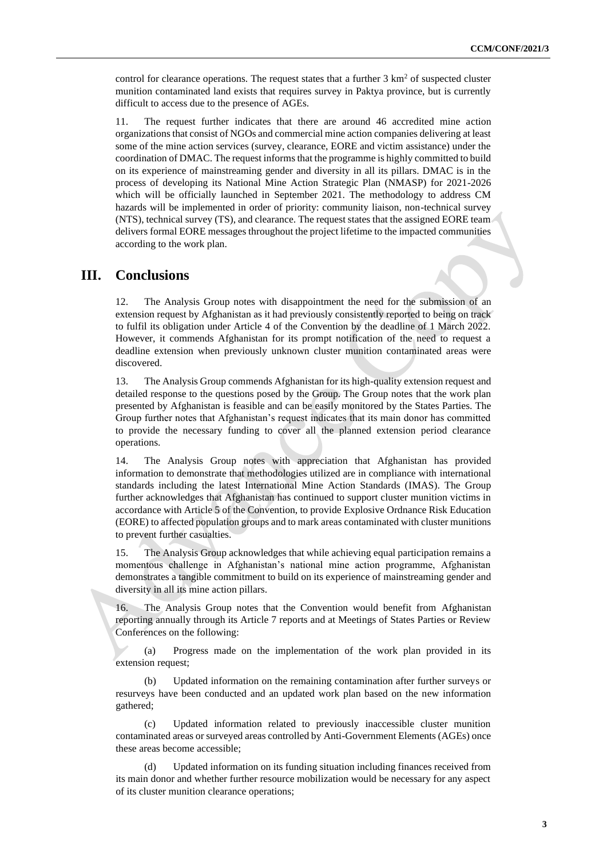control for clearance operations. The request states that a further  $3 \text{ km}^2$  of suspected cluster munition contaminated land exists that requires survey in Paktya province, but is currently difficult to access due to the presence of AGEs.

11. The request further indicates that there are around 46 accredited mine action organizations that consist of NGOs and commercial mine action companies delivering at least some of the mine action services (survey, clearance, EORE and victim assistance) under the coordination of DMAC. The request informs that the programme is highly committed to build on its experience of mainstreaming gender and diversity in all its pillars. DMAC is in the process of developing its National Mine Action Strategic Plan (NMASP) for 2021-2026 which will be officially launched in September 2021. The methodology to address CM hazards will be implemented in order of priority: community liaison, non-technical survey (NTS), technical survey (TS), and clearance. The request states that the assigned EORE team delivers formal EORE messages throughout the project lifetime to the impacted communities according to the work plan.

#### **III. Conclusions**

12. The Analysis Group notes with disappointment the need for the submission of an extension request by Afghanistan as it had previously consistently reported to being on track to fulfil its obligation under Article 4 of the Convention by the deadline of 1 March 2022. However, it commends Afghanistan for its prompt notification of the need to request a deadline extension when previously unknown cluster munition contaminated areas were discovered.

13. The Analysis Group commends Afghanistan for its high-quality extension request and detailed response to the questions posed by the Group. The Group notes that the work plan presented by Afghanistan is feasible and can be easily monitored by the States Parties. The Group further notes that Afghanistan's request indicates that its main donor has committed to provide the necessary funding to cover all the planned extension period clearance operations.

14. The Analysis Group notes with appreciation that Afghanistan has provided information to demonstrate that methodologies utilized are in compliance with international standards including the latest International Mine Action Standards (IMAS). The Group further acknowledges that Afghanistan has continued to support cluster munition victims in accordance with Article 5 of the Convention, to provide Explosive Ordnance Risk Education (EORE) to affected population groups and to mark areas contaminated with cluster munitions to prevent further casualties.

15. The Analysis Group acknowledges that while achieving equal participation remains a momentous challenge in Afghanistan's national mine action programme, Afghanistan demonstrates a tangible commitment to build on its experience of mainstreaming gender and diversity in all its mine action pillars.

16. The Analysis Group notes that the Convention would benefit from Afghanistan reporting annually through its Article 7 reports and at Meetings of States Parties or Review Conferences on the following:

(a) Progress made on the implementation of the work plan provided in its extension request;

(b) Updated information on the remaining contamination after further surveys or resurveys have been conducted and an updated work plan based on the new information gathered;

(c) Updated information related to previously inaccessible cluster munition contaminated areas or surveyed areas controlled by Anti-Government Elements (AGEs) once these areas become accessible;

(d) Updated information on its funding situation including finances received from its main donor and whether further resource mobilization would be necessary for any aspect of its cluster munition clearance operations;